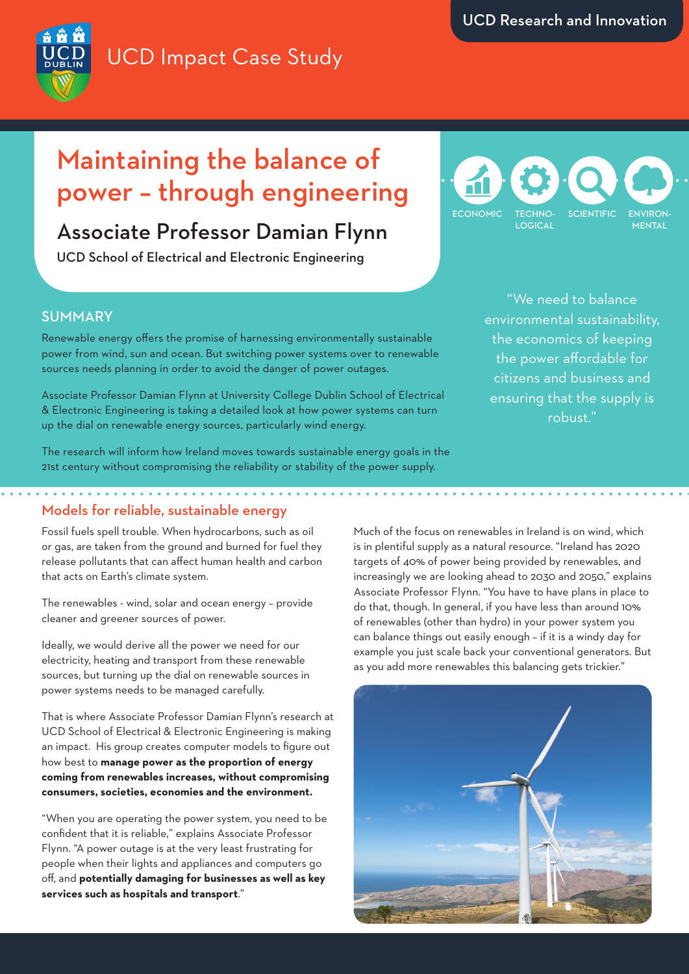# UCD Impact Case Study

## Maintaining the balance of power – through engineering

## Associate Professor Damian Flynn

UCD School of Electrical and Electronic Engineering



"We need to balance environmental sustainability, the economics of keeping the power affordable for citizens and business and ensuring that the supply is robust."

### **SUMMARY**

Renewable energy offers the promise of harnessing environmentally sustainable power from wind, sun and ocean. But switching power systems over to renewable sources needs planning in order to avoid the danger of power outages.

Associate Professor Damian Flynn at University College Dublin School of Electrical & Electronic Engineering is taking a detailed look at how power systems can turn up the dial on renewable energy sources, particularly wind energy.

The research will inform how Ireland moves towards sustainable energy goals in the 21st century without compromising the reliability or stability of the power supply.

### Models for reliable, sustainable energy

Fossil fuels spell trouble. When hydrocarbons, such as oil or gas, are taken from the ground and burned for fuel they release pollutants that can affect human health and carbon that acts on Earth's climate system.

The renewables - wind, solar and ocean energy – provide cleaner and greener sources of power.

Ideally, we would derive all the power we need for our electricity, heating and transport from these renewable sources, but turning up the dial on renewable sources in power systems needs to be managed carefully.

That is where Associate Professor Damian Flynn's research at UCD School of Electrical & Electronic Engineering is making an impact. His group creates computer models to figure out how best to **manage power as the proportion of energy coming from renewables increases, without compromising consumers, societies, economies and the environment.**

"When you are operating the power system, you need to be confident that it is reliable," explains Associate Professor Flynn. "A power outage is at the very least frustrating for people when their lights and appliances and computers go off, and **potentially damaging for businesses as well as key services such as hospitals and transport**."

Much of the focus on renewables in Ireland is on wind, which is in plentiful supply as a natural resource. "Ireland has 2020 targets of 40% of power being provided by renewables, and increasingly we are looking ahead to 2030 and 2050," explains Associate Professor Flynn. "You have to have plans in place to do that, though. In general, if you have less than around 10% of renewables (other than hydro) in your power system you can balance things out easily enough – if it is a windy day for example you just scale back your conventional generators. But as you add more renewables this balancing gets trickier."